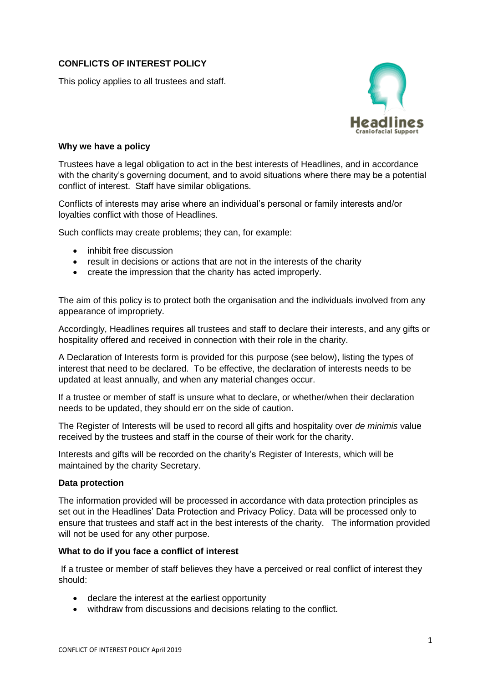# **CONFLICTS OF INTEREST POLICY**

This policy applies to all trustees and staff.



### **Why we have a policy**

Trustees have a legal obligation to act in the best interests of Headlines, and in accordance with the charity's governing document, and to avoid situations where there may be a potential conflict of interest. Staff have similar obligations.

Conflicts of interests may arise where an individual's personal or family interests and/or loyalties conflict with those of Headlines.

Such conflicts may create problems; they can, for example:

- inhibit free discussion
- result in decisions or actions that are not in the interests of the charity
- create the impression that the charity has acted improperly.

The aim of this policy is to protect both the organisation and the individuals involved from any appearance of impropriety.

Accordingly, Headlines requires all trustees and staff to declare their interests, and any gifts or hospitality offered and received in connection with their role in the charity.

A Declaration of Interests form is provided for this purpose (see below), listing the types of interest that need to be declared. To be effective, the declaration of interests needs to be updated at least annually, and when any material changes occur.

If a trustee or member of staff is unsure what to declare, or whether/when their declaration needs to be updated, they should err on the side of caution.

The Register of Interests will be used to record all gifts and hospitality over *de minimis* value received by the trustees and staff in the course of their work for the charity.

Interests and gifts will be recorded on the charity's Register of Interests, which will be maintained by the charity Secretary.

#### **Data protection**

The information provided will be processed in accordance with data protection principles as set out in the Headlines' Data Protection and Privacy Policy. Data will be processed only to ensure that trustees and staff act in the best interests of the charity. The information provided will not be used for any other purpose.

## **What to do if you face a conflict of interest**

If a trustee or member of staff believes they have a perceived or real conflict of interest they should:

- declare the interest at the earliest opportunity
- withdraw from discussions and decisions relating to the conflict.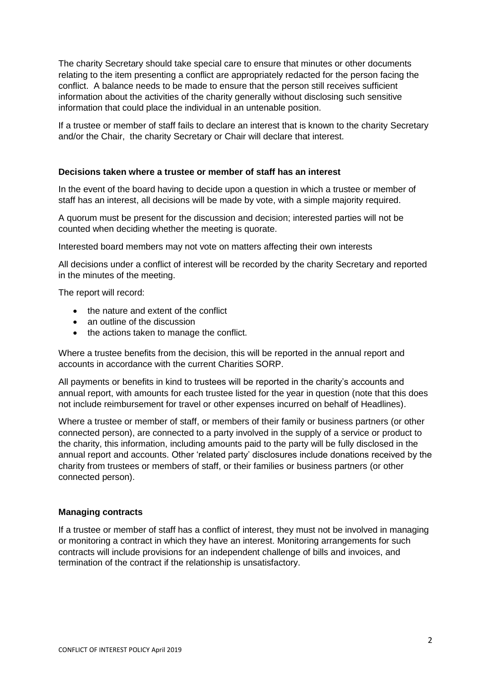The charity Secretary should take special care to ensure that minutes or other documents relating to the item presenting a conflict are appropriately redacted for the person facing the conflict. A balance needs to be made to ensure that the person still receives sufficient information about the activities of the charity generally without disclosing such sensitive information that could place the individual in an untenable position.

If a trustee or member of staff fails to declare an interest that is known to the charity Secretary and/or the Chair, the charity Secretary or Chair will declare that interest.

### **Decisions taken where a trustee or member of staff has an interest**

In the event of the board having to decide upon a question in which a trustee or member of staff has an interest, all decisions will be made by vote, with a simple majority required.

A quorum must be present for the discussion and decision; interested parties will not be counted when deciding whether the meeting is quorate.

Interested board members may not vote on matters affecting their own interests

All decisions under a conflict of interest will be recorded by the charity Secretary and reported in the minutes of the meeting.

The report will record:

- the nature and extent of the conflict
- an outline of the discussion
- the actions taken to manage the conflict.

Where a trustee benefits from the decision, this will be reported in the annual report and accounts in accordance with the current Charities SORP.

All payments or benefits in kind to trustees will be reported in the charity's accounts and annual report, with amounts for each trustee listed for the year in question (note that this does not include reimbursement for travel or other expenses incurred on behalf of Headlines).

Where a trustee or member of staff, or members of their family or business partners (or other connected person), are connected to a party involved in the supply of a service or product to the charity, this information, including amounts paid to the party will be fully disclosed in the annual report and accounts. Other 'related party' disclosures include donations received by the charity from trustees or members of staff, or their families or business partners (or other connected person).

#### **Managing contracts**

If a trustee or member of staff has a conflict of interest, they must not be involved in managing or monitoring a contract in which they have an interest. Monitoring arrangements for such contracts will include provisions for an independent challenge of bills and invoices, and termination of the contract if the relationship is unsatisfactory.